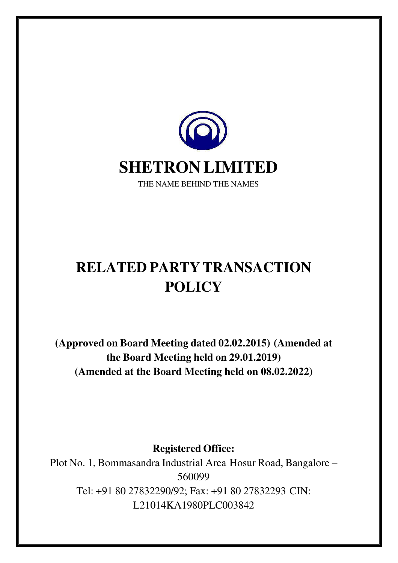

# **RELATED PARTY TRANSACTION POLICY**

**(Approved on Board Meeting dated 02.02.2015) (Amended at the Board Meeting held on 29.01.2019) (Amended at the Board Meeting held on 08.02.2022)**

**Registered Office:**

Plot No. 1, Bommasandra Industrial Area Hosur Road, Bangalore – 560099 Tel: +91 80 27832290/92; Fax: +91 80 27832293 CIN: L21014KA1980PLC003842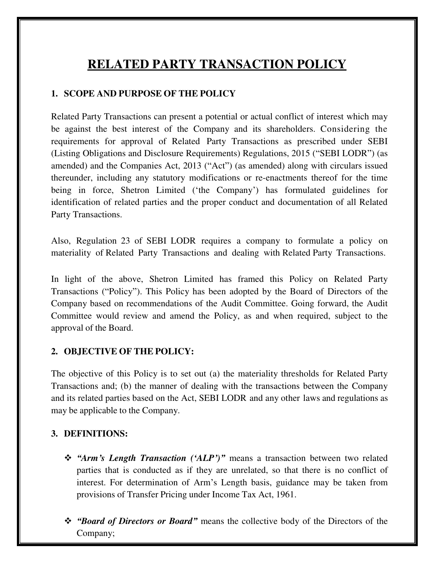# **RELATED PARTY TRANSACTION POLICY**

#### **1. SCOPE AND PURPOSE OF THE POLICY**

Related Party Transactions can present a potential or actual conflict of interest which may be against the best interest of the Company and its shareholders. Considering the requirements for approval of Related Party Transactions as prescribed under SEBI (Listing Obligations and Disclosure Requirements) Regulations, 2015 ("SEBI LODR") (as amended) and the Companies Act, 2013 ("Act") (as amended) along with circulars issued thereunder, including any statutory modifications or re-enactments thereof for the time being in force, Shetron Limited ('the Company') has formulated guidelines for identification of related parties and the proper conduct and documentation of all Related Party Transactions.

Also, Regulation 23 of SEBI LODR requires a company to formulate a policy on materiality of Related Party Transactions and dealing with Related Party Transactions.

In light of the above, Shetron Limited has framed this Policy on Related Party Transactions ("Policy"). This Policy has been adopted by the Board of Directors of the Company based on recommendations of the Audit Committee. Going forward, the Audit Committee would review and amend the Policy, as and when required, subject to the approval of the Board.

#### **2. OBJECTIVE OF THE POLICY:**

The objective of this Policy is to set out (a) the materiality thresholds for Related Party Transactions and; (b) the manner of dealing with the transactions between the Company and its related parties based on the Act, SEBI LODR and any other laws and regulations as may be applicable to the Company.

#### **3. DEFINITIONS:**

- *"Arm's Length Transaction ('ALP')"* means a transaction between two related parties that is conducted as if they are unrelated, so that there is no conflict of interest. For determination of Arm's Length basis, guidance may be taken from provisions of Transfer Pricing under Income Tax Act, 1961.
- *"Board of Directors or Board"* means the collective body of the Directors of the Company;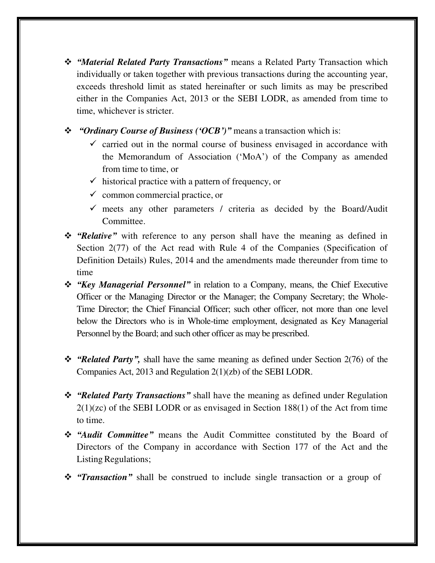- *"Material Related Party Transactions"* means a Related Party Transaction which individually or taken together with previous transactions during the accounting year, exceeds threshold limit as stated hereinafter or such limits as may be prescribed either in the Companies Act, 2013 or the SEBI LODR, as amended from time to time, whichever is stricter.
- *"Ordinary Course of Business ('OCB')"* means a transaction which is:
	- $\checkmark$  carried out in the normal course of business envisaged in accordance with the Memorandum of Association ('MoA') of the Company as amended from time to time, or
	- $\checkmark$  historical practice with a pattern of frequency, or
	- $\checkmark$  common commercial practice, or
	- $\checkmark$  meets any other parameters / criteria as decided by the Board/Audit Committee.
- *"Relative"* with reference to any person shall have the meaning as defined in Section 2(77) of the Act read with Rule 4 of the Companies (Specification of Definition Details) Rules, 2014 and the amendments made thereunder from time to time
- *"Key Managerial Personnel"* in relation to a Company, means, the Chief Executive Officer or the Managing Director or the Manager; the Company Secretary; the Whole-Time Director; the Chief Financial Officer; such other officer, not more than one level below the Directors who is in Whole-time employment, designated as Key Managerial Personnel by the Board; and such other officer as may be prescribed.
- *"Related Party",* shall have the same meaning as defined under Section 2(76) of the Companies Act, 2013 and Regulation 2(1)(zb) of the SEBI LODR.
- *"Related Party Transactions"* shall have the meaning as defined under Regulation 2(1)(zc) of the SEBI LODR or as envisaged in Section 188(1) of the Act from time to time.
- *"Audit Committee"* means the Audit Committee constituted by the Board of Directors of the Company in accordance with Section 177 of the Act and the Listing Regulations;
- *"Transaction"* shall be construed to include single transaction or a group of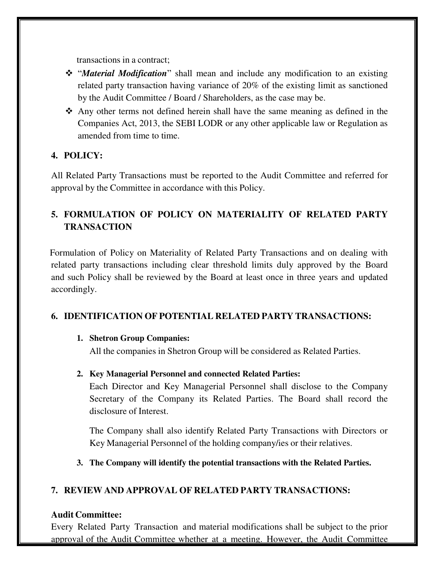transactions in a contract;

- "*Material Modification*" shall mean and include any modification to an existing related party transaction having variance of 20% of the existing limit as sanctioned by the Audit Committee / Board / Shareholders, as the case may be.
- Any other terms not defined herein shall have the same meaning as defined in the Companies Act, 2013, the SEBI LODR or any other applicable law or Regulation as amended from time to time.

#### **4. POLICY:**

All Related Party Transactions must be reported to the Audit Committee and referred for approval by the Committee in accordance with this Policy.

## **5. FORMULATION OF POLICY ON MATERIALITY OF RELATED PARTY TRANSACTION**

 Formulation of Policy on Materiality of Related Party Transactions and on dealing with related party transactions including clear threshold limits duly approved by the Board and such Policy shall be reviewed by the Board at least once in three years and updated accordingly.

#### **6. IDENTIFICATION OF POTENTIAL RELATED PARTY TRANSACTIONS:**

#### **1. Shetron Group Companies:**

All the companies in Shetron Group will be considered as Related Parties.

#### **2. Key Managerial Personnel and connected Related Parties:**

Each Director and Key Managerial Personnel shall disclose to the Company Secretary of the Company its Related Parties. The Board shall record the disclosure of Interest.

The Company shall also identify Related Party Transactions with Directors or Key Managerial Personnel of the holding company/ies or their relatives.

**3. The Company will identify the potential transactions with the Related Parties.**

#### **7. REVIEW AND APPROVAL OF RELATED PARTY TRANSACTIONS:**

#### **Audit Committee:**

Every Related Party Transaction and material modifications shall be subject to the prior approval of the Audit Committee whether at a meeting. However, the Audit Committee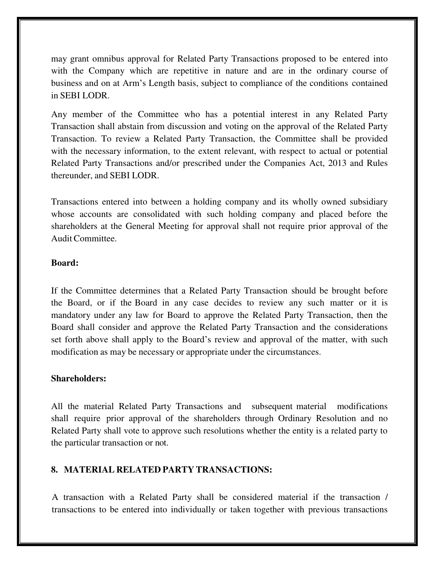may grant omnibus approval for Related Party Transactions proposed to be entered into with the Company which are repetitive in nature and are in the ordinary course of business and on at Arm's Length basis, subject to compliance of the conditions contained in SEBI LODR.

Any member of the Committee who has a potential interest in any Related Party Transaction shall abstain from discussion and voting on the approval of the Related Party Transaction. To review a Related Party Transaction, the Committee shall be provided with the necessary information, to the extent relevant, with respect to actual or potential Related Party Transactions and/or prescribed under the Companies Act, 2013 and Rules thereunder, and SEBI LODR.

Transactions entered into between a holding company and its wholly owned subsidiary whose accounts are consolidated with such holding company and placed before the shareholders at the General Meeting for approval shall not require prior approval of the Audit Committee.

#### **Board:**

If the Committee determines that a Related Party Transaction should be brought before the Board, or if the Board in any case decides to review any such matter or it is mandatory under any law for Board to approve the Related Party Transaction, then the Board shall consider and approve the Related Party Transaction and the considerations set forth above shall apply to the Board's review and approval of the matter, with such modification as may be necessary or appropriate under the circumstances.

#### **Shareholders:**

All the material Related Party Transactions and subsequent material modifications shall require prior approval of the shareholders through Ordinary Resolution and no Related Party shall vote to approve such resolutions whether the entity is a related party to the particular transaction or not.

#### **8. MATERIAL RELATED PARTY TRANSACTIONS:**

A transaction with a Related Party shall be considered material if the transaction / transactions to be entered into individually or taken together with previous transactions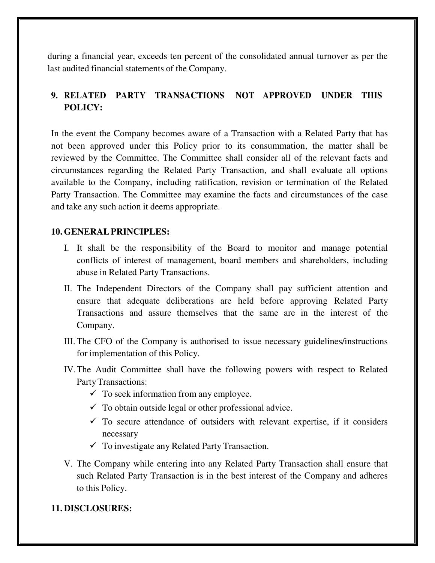during a financial year, exceeds ten percent of the consolidated annual turnover as per the last audited financial statements of the Company.

## **9. RELATED PARTY TRANSACTIONS NOT APPROVED UNDER THIS POLICY:**

In the event the Company becomes aware of a Transaction with a Related Party that has not been approved under this Policy prior to its consummation, the matter shall be reviewed by the Committee. The Committee shall consider all of the relevant facts and circumstances regarding the Related Party Transaction, and shall evaluate all options available to the Company, including ratification, revision or termination of the Related Party Transaction. The Committee may examine the facts and circumstances of the case and take any such action it deems appropriate.

#### **10. GENERAL PRINCIPLES:**

- I. It shall be the responsibility of the Board to monitor and manage potential conflicts of interest of management, board members and shareholders, including abuse in Related Party Transactions.
- II. The Independent Directors of the Company shall pay sufficient attention and ensure that adequate deliberations are held before approving Related Party Transactions and assure themselves that the same are in the interest of the Company.
- III. The CFO of the Company is authorised to issue necessary guidelines/instructions for implementation of this Policy.
- IV.The Audit Committee shall have the following powers with respect to Related Party Transactions:
	- $\checkmark$  To seek information from any employee.
	- $\checkmark$  To obtain outside legal or other professional advice.
	- $\checkmark$  To secure attendance of outsiders with relevant expertise, if it considers necessary
	- $\checkmark$  To investigate any Related Party Transaction.
- V. The Company while entering into any Related Party Transaction shall ensure that such Related Party Transaction is in the best interest of the Company and adheres to this Policy.

#### **11. DISCLOSURES:**